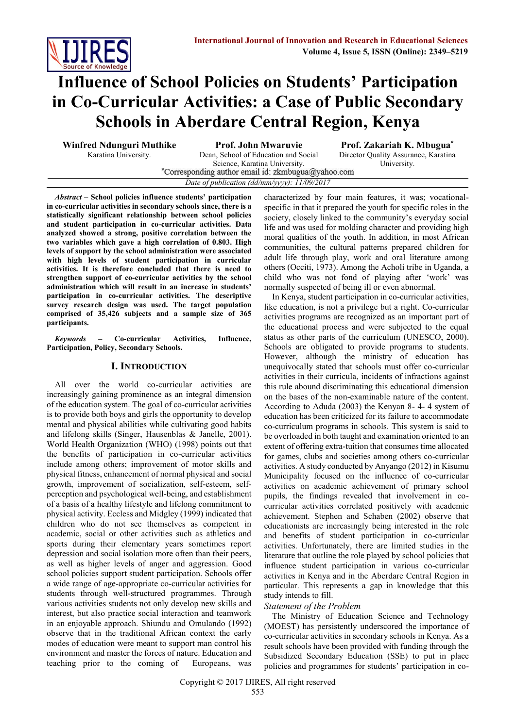

**participants.** 

# **Influence of School Policies on Students' Participation in Co-Curricular Activities: a Case of Public Secondary Schools in Aberdare Central Region, Kenya**

**Winfred Ndunguri Muthike Prof. John Mwaruvie Prof. Zakariah K. Mbugua\*** Karatina University. Dean, School of Education and Social Science, Karatina University.<br>
\*Corresponding author email id: zkmbugua@yahoo.com *Date of publication (dd/mm/yyyy): 11/09/2017*

Director Quality Assurance, Karatina University.

*Abstract* **– School policies influence students' participation in co-curricular activities in secondary schools since, there is a statistically significant relationship between school policies and student participation in co-curricular activities. Data analyzed showed a strong, positive correlation between the two variables which gave a high correlation of 0.803. High levels of support by the school administration were associated with high levels of student participation in curricular activities. It is therefore concluded that there is need to strengthen support of co-curricular activities by the school administration which will result in an increase in students' participation in co-curricular activities. The descriptive survey research design was used. The target population comprised of 35,426 subjects and a sample size of 365** 

*Keywords –* **Co-curricular Activities, Influence, Participation, Policy, Secondary Schools.**

## **I. INTRODUCTION**

All over the world co-curricular activities are increasingly gaining prominence as an integral dimension of the education system. The goal of co-curricular activities is to provide both boys and girls the opportunity to develop mental and physical abilities while cultivating good habits and lifelong skills (Singer, Hausenblas & Janelle, 2001). World Health Organization (WHO) (1998) points out that the benefits of participation in co-curricular activities include among others; improvement of motor skills and physical fitness, enhancement of normal physical and social growth, improvement of socialization, self-esteem, selfperception and psychological well-being, and establishment of a basis of a healthy lifestyle and lifelong commitment to physical activity. Eccless and Midgley (1999) indicated that children who do not see themselves as competent in academic, social or other activities such as athletics and sports during their elementary years sometimes report depression and social isolation more often than their peers, as well as higher levels of anger and aggression. Good school policies support student participation. Schools offer a wide range of age-appropriate co-curricular activities for students through well-structured programmes. Through various activities students not only develop new skills and interest, but also practice social interaction and teamwork in an enjoyable approach. Shiundu and Omulando (1992) observe that in the traditional African context the early modes of education were meant to support man control his environment and master the forces of nature. Education and teaching prior to the coming of Europeans, was

characterized by four main features, it was; vocationalspecific in that it prepared the youth for specific roles in the society, closely linked to the community's everyday social life and was used for molding character and providing high moral qualities of the youth. In addition, in most African communities, the cultural patterns prepared children for adult life through play, work and oral literature among others (Occiti, 1973). Among the Acholi tribe in Uganda, a child who was not fond of playing after 'work' was normally suspected of being ill or even abnormal.

In Kenya, student participation in co-curricular activities, like education, is not a privilege but a right. Co-curricular activities programs are recognized as an important part of the educational process and were subjected to the equal status as other parts of the curriculum (UNESCO, 2000). Schools are obligated to provide programs to students. However, although the ministry of education has unequivocally stated that schools must offer co-curricular activities in their curricula, incidents of infractions against this rule abound discriminating this educational dimension on the bases of the non-examinable nature of the content. According to Aduda (2003) the Kenyan 8- 4- 4 system of education has been criticized for its failure to accommodate co-curriculum programs in schools. This system is said to be overloaded in both taught and examination oriented to an extent of offering extra-tuition that consumes time allocated for games, clubs and societies among others co-curricular activities. A study conducted by Anyango (2012) in Kisumu Municipality focused on the influence of co-curricular activities on academic achievement of primary school pupils, the findings revealed that involvement in cocurricular activities correlated positively with academic achievement. Stephen and Schaben (2002) observe that educationists are increasingly being interested in the role and benefits of student participation in co-curricular activities. Unfortunately, there are limited studies in the literature that outline the role played by school policies that influence student participation in various co-curricular activities in Kenya and in the Aberdare Central Region in particular. This represents a gap in knowledge that this study intends to fill.

# *Statement of the Problem*

The Ministry of Education Science and Technology (MOEST) has persistently underscored the importance of co-curricular activities in secondary schools in Kenya. As a result schools have been provided with funding through the Subsidized Secondary Education (SSE) to put in place policies and programmes for students' participation in co-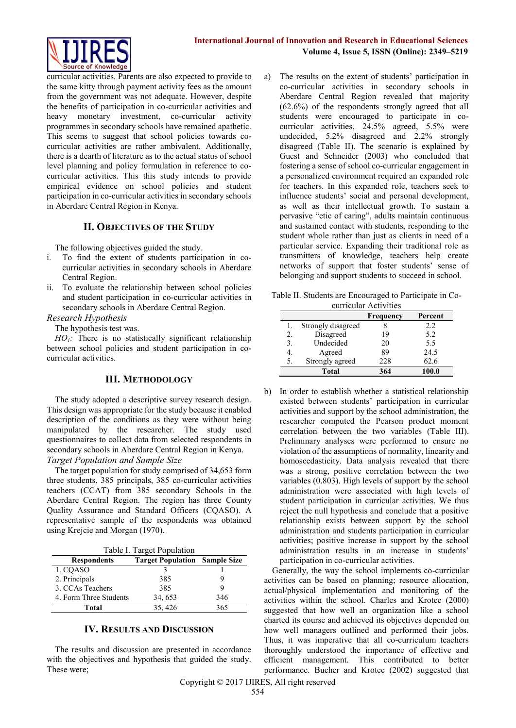

curricular activities. Parents are also expected to provide to the same kitty through payment activity fees as the amount from the government was not adequate. However, despite the benefits of participation in co-curricular activities and heavy monetary investment, co-curricular activity programmes in secondary schools have remained apathetic. This seems to suggest that school policies towards cocurricular activities are rather ambivalent. Additionally, there is a dearth of literature as to the actual status of school level planning and policy formulation in reference to cocurricular activities. This this study intends to provide empirical evidence on school policies and student participation in co-curricular activities in secondary schools in Aberdare Central Region in Kenya.

## **II. OBJECTIVES OF THE STUDY**

The following objectives guided the study.

- i. To find the extent of students participation in cocurricular activities in secondary schools in Aberdare Central Region.
- ii. To evaluate the relationship between school policies and student participation in co-curricular activities in secondary schools in Aberdare Central Region.

*Research Hypothesis*

The hypothesis test was.

*HO*<sub>1</sub>*:* There is no statistically significant relationship between school policies and student participation in cocurricular activities.

## **III. METHODOLOGY**

The study adopted a descriptive survey research design. This design was appropriate for the study because it enabled description of the conditions as they were without being manipulated by the researcher. The study used questionnaires to collect data from selected respondents in secondary schools in Aberdare Central Region in Kenya. *Target Population and Sample Size*

The target population for study comprised of 34,653 form three students, 385 principals, 385 co-curricular activities teachers (CCAT) from 385 secondary Schools in the Aberdare Central Region. The region has three County Quality Assurance and Standard Officers (CQASO). A representative sample of the respondents was obtained using Krejcie and Morgan (1970).

| Table I. Target Population |  |  |
|----------------------------|--|--|
|                            |  |  |

| $1$ avive 1. The get I optimized |                                      |     |  |
|----------------------------------|--------------------------------------|-----|--|
| <b>Respondents</b>               | <b>Target Population Sample Size</b> |     |  |
| 1. CQASO                         |                                      |     |  |
| 2. Principals                    | 385                                  |     |  |
| 3. CCAs Teachers                 | 385                                  |     |  |
| 4. Form Three Students           | 34, 653                              | 346 |  |
| Total                            | 35, 426                              | 365 |  |

## **IV. RESULTS AND DISCUSSION**

The results and discussion are presented in accordance with the objectives and hypothesis that guided the study. These were;

a) The results on the extent of students' participation in co-curricular activities in secondary schools in Aberdare Central Region revealed that majority (62.6%) of the respondents strongly agreed that all students were encouraged to participate in cocurricular activities, 24.5% agreed, 5.5% were undecided, 5.2% disagreed and 2.2% strongly disagreed (Table II). The scenario is explained by Guest and Schneider (2003) who concluded that fostering a sense of school co-curricular engagement in a personalized environment required an expanded role for teachers. In this expanded role, teachers seek to influence students' social and personal development, as well as their intellectual growth. To sustain a pervasive "etic of caring", adults maintain continuous and sustained contact with students, responding to the student whole rather than just as clients in need of a particular service. Expanding their traditional role as transmitters of knowledge, teachers help create networks of support that foster students' sense of belonging and support students to succeed in school.

|  |                       | Table II. Students are Encouraged to Participate in Co- |  |
|--|-----------------------|---------------------------------------------------------|--|
|  | curricular Activities |                                                         |  |

| UULIUUM AUUVIUUS |                    |           |         |
|------------------|--------------------|-----------|---------|
|                  |                    | Frequency | Percent |
| 1.               | Strongly disagreed |           | 2.2     |
| 2.               | Disagreed          | 19        | 5.2     |
| 3.               | Undecided          | 20        | 5.5     |
| 4.               | Agreed             | 89        | 24.5    |
| 5.               | Strongly agreed    | 228       | 62.6    |
|                  | Total              | 364       | 100.0   |

b) In order to establish whether a statistical relationship existed between students' participation in curricular activities and support by the school administration, the researcher computed the Pearson product moment correlation between the two variables (Table III). Preliminary analyses were performed to ensure no violation of the assumptions of normality, linearity and homoscedasticity. Data analysis revealed that there was a strong, positive correlation between the two variables (0.803). High levels of support by the school administration were associated with high levels of student participation in curricular activities. We thus reject the null hypothesis and conclude that a positive relationship exists between support by the school administration and students participation in curricular activities; positive increase in support by the school administration results in an increase in students' participation in co-curricular activities.

Generally, the way the school implements co-curricular activities can be based on planning; resource allocation, actual/physical implementation and monitoring of the activities within the school. Charles and Krotee (2000) suggested that how well an organization like a school charted its course and achieved its objectives depended on how well managers outlined and performed their jobs. Thus, it was imperative that all co-curriculum teachers thoroughly understood the importance of effective and efficient management. This contributed to better performance. Bucher and Krotee (2002) suggested that